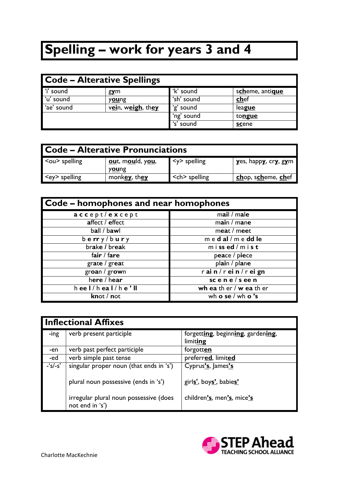## **Spelling – work for years 3 and 4**

| <b>Code - Alterative Spellings</b> |                   |            |                 |
|------------------------------------|-------------------|------------|-----------------|
| 'i' sound                          | gym               | 'k' sound  | scheme, antique |
| 'u' sound                          | young             | 'sh' sound | <b>chef</b>     |
| 'ae' sound                         | vein, weigh, they | ʻg' sound  | league          |
|                                    |                   | 'ng' sound | tongue          |
|                                    |                   | 's' sound  | scene           |

| <b>Code – Alterative Pronunciations</b> |                                            |                    |                      |
|-----------------------------------------|--------------------------------------------|--------------------|----------------------|
| $\leq$ ou $\geq$ spelling               | <u>ou</u> t, m <u>ou</u> ld, y <u>ou</u> , | $\le$ y> spelling  | yes, happy, cry, gym |
|                                         | young                                      |                    |                      |
| $\leq$ ey> spelling                     | monkey, they                               | <ch> spelling</ch> | chop, scheme, chef   |

| Code – homophones and near homophones |                               |  |
|---------------------------------------|-------------------------------|--|
| $\texttt{accept}/\texttt{except}$     | $\overline{\text{mail}}$ male |  |
| affect / effect                       | main / mane                   |  |
| ball / bawl                           | meat / meet                   |  |
| $b$ erry/bury                         | medal / meddle                |  |
| brake / break                         | $m$ issed / $m$ is t          |  |
| fair $/$ fare                         | peace / piece                 |  |
| grate / $great$                       | plain / plane                 |  |
| groan / grown                         | rain/rein/reign               |  |
| here / hear                           | $sc$ e n e / s ee n           |  |
| heel/heal/he'll                       | wh ea th er / w ea th er      |  |
| knot / not                            | whose / who's                 |  |

| <b>Inflectional Affixes</b> |                                                           |                                               |
|-----------------------------|-----------------------------------------------------------|-----------------------------------------------|
| -ing                        | verb present participle                                   | forgetting, beginning, gardening,<br>limiting |
| -en                         | verb past perfect participle                              | forgotten                                     |
| -ed                         | verb simple past tense                                    | preferred, limited                            |
| $-s/-s'$                    | singular proper noun (that ends in 's')                   | Cyprus's, James's                             |
|                             | plural noun possessive (ends in 's')                      | girls', boys', babies'                        |
|                             | irregular plural noun possessive (does<br>not end in 's') | children's, men's, mice's                     |

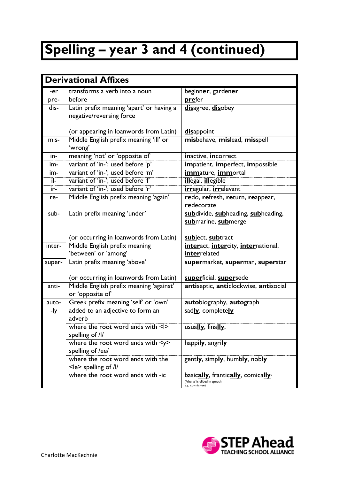## **Spelling – year 3 and 4 (continued)**

| <b>Derivational Affixes</b> |                                                          |                                                                                        |
|-----------------------------|----------------------------------------------------------|----------------------------------------------------------------------------------------|
| -er                         | transforms a verb into a noun                            | beginner, gardener                                                                     |
| pre-                        | before                                                   | prefer                                                                                 |
| $dis-$                      | Latin prefix meaning 'apart' or having a                 | disagree, disobey                                                                      |
|                             | negative/reversing force                                 |                                                                                        |
|                             |                                                          |                                                                                        |
|                             | (or appearing in loanwords from Latin)                   | disappoint                                                                             |
| mis-                        | Middle English prefix meaning 'ill' or                   | misbehave, mislead, misspell                                                           |
|                             | 'wrong'                                                  |                                                                                        |
| in-                         | meaning 'not' or 'opposite of'                           | inactive, incorrect                                                                    |
| im-                         | variant of 'in-'; used before 'p'                        | impatient, imperfect, impossible                                                       |
| im-                         | variant of 'in-'; used before 'm'                        | immature, immortal                                                                     |
| il-                         | variant of 'in-'; used before 'l'                        | illegal, illegible                                                                     |
| ir-                         | variant of 'in-'; used before 'r'                        | irregular, irrelevant                                                                  |
| re-                         | Middle English prefix meaning 'again'                    | redo, refresh, return, reappear,                                                       |
|                             |                                                          | redecorate                                                                             |
| sub-                        | Latin prefix meaning 'under'                             | subdivide, subheading, subheading,                                                     |
|                             |                                                          | submarine, submerge                                                                    |
|                             |                                                          |                                                                                        |
|                             | (or occurring in loanwords from Latin)                   | subject, subtract                                                                      |
| inter-                      | Middle English prefix meaning                            | interact, intercity, international,                                                    |
|                             | 'between' or 'among'                                     | interrelated                                                                           |
| super-                      | Latin prefix meaning 'above'                             | supermarket, superman, superstar                                                       |
|                             |                                                          |                                                                                        |
|                             | (or occurring in loanwords from Latin)                   | superficial, supersede                                                                 |
| anti-                       | Middle English prefix meaning 'against'                  | antiseptic, anticlockwise, antisocial                                                  |
|                             | or 'opposite of'                                         |                                                                                        |
| auto-                       | Greek prefix meaning 'self' or 'own'                     | autobiography, autograph                                                               |
| -ly                         | added to an adjective to form an                         | sadly, completely                                                                      |
|                             | adverb                                                   |                                                                                        |
|                             | where the root word ends with $\leq$   usually, finally, |                                                                                        |
|                             | spelling of /l/                                          |                                                                                        |
|                             | where the root word ends with <y></y>                    | happily, angrily                                                                       |
|                             | spelling of /ee/                                         |                                                                                        |
|                             | where the root word ends with the                        | gently, simply, humbly, nobly                                                          |
|                             | $\leq$ le> spelling of /l/                               |                                                                                        |
|                             | where the root word ends with -ic                        | basically, frantically, comically<br>(*the 'a' is elided in speech<br>e.g. co-mic-lee) |